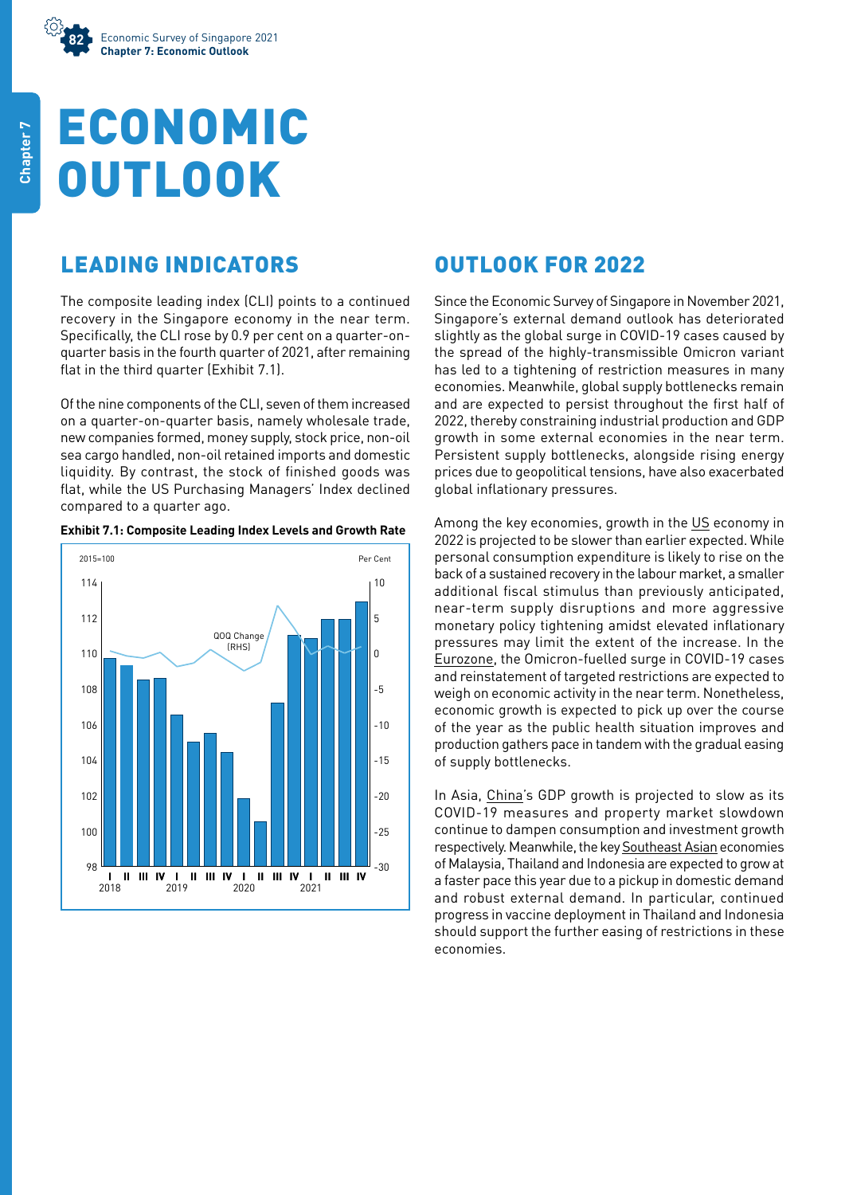## ECONOMIC **OUTLOOK**

## LEADING INDICATORS

The composite leading index (CLI) points to a continued recovery in the Singapore economy in the near term. Specifically, the CLI rose by 0.9 per cent on a quarter-onquarter basis in the fourth quarter of 2021, after remaining flat in the third quarter (Exhibit 7.1).

Of the nine components of the CLI, seven of them increased on a quarter-on-quarter basis, namely wholesale trade, new companies formed, money supply, stock price, non-oil sea cargo handled, non-oil retained imports and domestic liquidity. By contrast, the stock of finished goods was flat, while the US Purchasing Managers' Index declined compared to a quarter ago.



## **Exhibit 7.1: Composite Leading Index Levels and Growth Rate**

## OUTLOOK FOR 2022

Since the Economic Survey of Singapore in November 2021, Singapore's external demand outlook has deteriorated slightly as the global surge in COVID-19 cases caused by the spread of the highly-transmissible Omicron variant has led to a tightening of restriction measures in many economies. Meanwhile, global supply bottlenecks remain and are expected to persist throughout the first half of 2022, thereby constraining industrial production and GDP growth in some external economies in the near term. Persistent supply bottlenecks, alongside rising energy prices due to geopolitical tensions, have also exacerbated global inflationary pressures.

Among the key economies, growth in the US economy in 2022 is projected to be slower than earlier expected. While personal consumption expenditure is likely to rise on the back of a sustained recovery in the labour market, a smaller additional fiscal stimulus than previously anticipated, near-term supply disruptions and more aggressive monetary policy tightening amidst elevated inflationary pressures may limit the extent of the increase. In the Eurozone, the Omicron-fuelled surge in COVID-19 cases and reinstatement of targeted restrictions are expected to weigh on economic activity in the near term. Nonetheless, economic growth is expected to pick up over the course of the year as the public health situation improves and production gathers pace in tandem with the gradual easing of supply bottlenecks.

In Asia, China's GDP growth is projected to slow as its COVID-19 measures and property market slowdown continue to dampen consumption and investment growth respectively. Meanwhile, the key Southeast Asian economies of Malaysia, Thailand and Indonesia are expected to grow at a faster pace this year due to a pickup in domestic demand and robust external demand. In particular, continued progress in vaccine deployment in Thailand and Indonesia should support the further easing of restrictions in these economies.